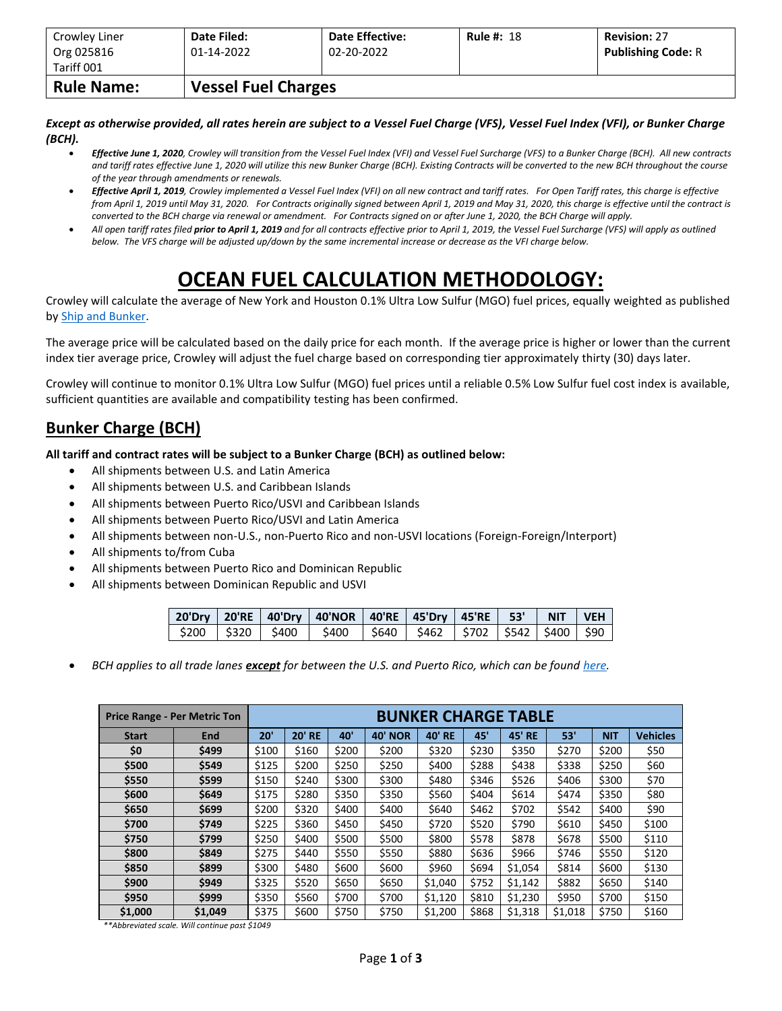| Org 025816                      | 01-14-2022                 | 02-20-2022 | <b>Publishing Code: R</b> |
|---------------------------------|----------------------------|------------|---------------------------|
| Tariff 001<br><b>Rule Name:</b> | <b>Vessel Fuel Charges</b> |            |                           |

*Except as otherwise provided, all rates herein are subject to a Vessel Fuel Charge (VFS), Vessel Fuel Index (VFI), or Bunker Charge (BCH).*

- *Effective June 1, 2020, Crowley will transition from the Vessel Fuel Index (VFI) and Vessel Fuel Surcharge (VFS) to a Bunker Charge (BCH). All new contracts and tariff rates effective June 1, 2020 will utilize this new Bunker Charge (BCH). Existing Contracts will be converted to the new BCH throughout the course of the year through amendments or renewals.*
- *Effective April 1, 2019, Crowley implemented a Vessel Fuel Index (VFI) on all new contract and tariff rates. For Open Tariff rates, this charge is effective from April 1, 2019 until May 31, 2020. For Contracts originally signed between April 1, 2019 and May 31, 2020, this charge is effective until the contract is converted to the BCH charge via renewal or amendment. For Contracts signed on or after June 1, 2020, the BCH Charge will apply.*
- *All open tariff rates filed prior to April 1, 2019 and for all contracts effective prior to April 1, 2019, the Vessel Fuel Surcharge (VFS) will apply as outlined below. The VFS charge will be adjusted up/down by the same incremental increase or decrease as the VFI charge below.*

## **OCEAN FUEL CALCULATION METHODOLOGY:**

Crowley will calculate the average of New York and Houston 0.1% Ultra Low Sulfur (MGO) fuel prices, equally weighted as published by [Ship and Bunker.](https://shipandbunker.com/)

The average price will be calculated based on the daily price for each month. If the average price is higher or lower than the current index tier average price, Crowley will adjust the fuel charge based on corresponding tier approximately thirty (30) days later.

Crowley will continue to monitor 0.1% Ultra Low Sulfur (MGO) fuel prices until a reliable 0.5% Low Sulfur fuel cost index is available, sufficient quantities are available and compatibility testing has been confirmed.

## **Bunker Charge (BCH)**

**All tariff and contract rates will be subject to a Bunker Charge (BCH) as outlined below:**

- All shipments between U.S. and Latin America
- All shipments between U.S. and Caribbean Islands
- All shipments between Puerto Rico/USVI and Caribbean Islands
- All shipments between Puerto Rico/USVI and Latin America
- All shipments between non-U.S., non-Puerto Rico and non-USVI locations (Foreign-Foreign/Interport)
- All shipments to/from Cuba
- All shipments between Puerto Rico and Dominican Republic
- All shipments between Dominican Republic and USVI

|  | 20'Dry   20'RE   40'Dry   40'NOR   40'RE   45'Dry   45'RE   53'   NIT   VEH  |  |  |  |
|--|------------------------------------------------------------------------------|--|--|--|
|  | \$200   \$320   \$400   \$400   \$640   \$462   \$702   \$542   \$400   \$90 |  |  |  |

• *BCH applies to all trade lanes except for between the U.S. and Puerto Rico, which can be foun[d here.](https://www.crowley.com/logistics/resources/rates-tariffs/stb/#18-1-vessel-fuel-surcharge-between-the-continental-us-and-puerto-rico)*

|              | <b>Price Range - Per Metric Ton</b> | <b>BUNKER CHARGE TABLE</b> |               |       |                |               |       |               |         |            |                 |
|--------------|-------------------------------------|----------------------------|---------------|-------|----------------|---------------|-------|---------------|---------|------------|-----------------|
| <b>Start</b> | <b>End</b>                          | 20'                        | <b>20' RE</b> | 40'   | <b>40' NOR</b> | <b>40' RE</b> | 45'   | <b>45' RE</b> | 53'     | <b>NIT</b> | <b>Vehicles</b> |
| \$0          | \$499                               | \$100                      | \$160         | \$200 | \$200          | \$320         | \$230 | \$350         | \$270   | \$200      | \$50            |
| \$500        | \$549                               | \$125                      | \$200         | \$250 | \$250          | \$400         | \$288 | \$438         | \$338   | \$250      | \$60            |
| \$550        | \$599                               | \$150                      | \$240         | \$300 | \$300          | \$480         | \$346 | \$526         | \$406   | \$300      | \$70            |
| \$600        | \$649                               | \$175                      | \$280         | \$350 | \$350          | \$560         | \$404 | \$614         | \$474   | \$350      | \$80            |
| \$650        | \$699                               | \$200                      | \$320         | \$400 | \$400          | \$640         | \$462 | \$702         | \$542   | \$400      | \$90            |
| \$700        | \$749                               | \$225                      | \$360         | \$450 | \$450          | \$720         | \$520 | \$790         | \$610   | \$450      | \$100           |
| \$750        | \$799                               | \$250                      | \$400         | \$500 | \$500          | \$800         | \$578 | \$878         | \$678   | \$500      | \$110           |
| \$800        | \$849                               | \$275                      | \$440         | \$550 | \$550          | \$880         | \$636 | \$966         | \$746   | \$550      | \$120           |
| \$850        | \$899                               | \$300                      | \$480         | \$600 | \$600          | \$960         | \$694 | \$1,054       | \$814   | \$600      | \$130           |
| \$900        | \$949                               | \$325                      | \$520         | \$650 | \$650          | \$1,040       | \$752 | \$1,142       | \$882   | \$650      | \$140           |
| \$950        | \$999                               | \$350                      | \$560         | \$700 | \$700          | \$1,120       | \$810 | \$1,230       | \$950   | \$700      | \$150           |
| \$1,000      | \$1,049                             | \$375                      | \$600         | \$750 | \$750          | \$1,200       | \$868 | \$1,318       | \$1,018 | \$750      | \$160           |

*\*\*Abbreviated scale. Will continue past \$1049*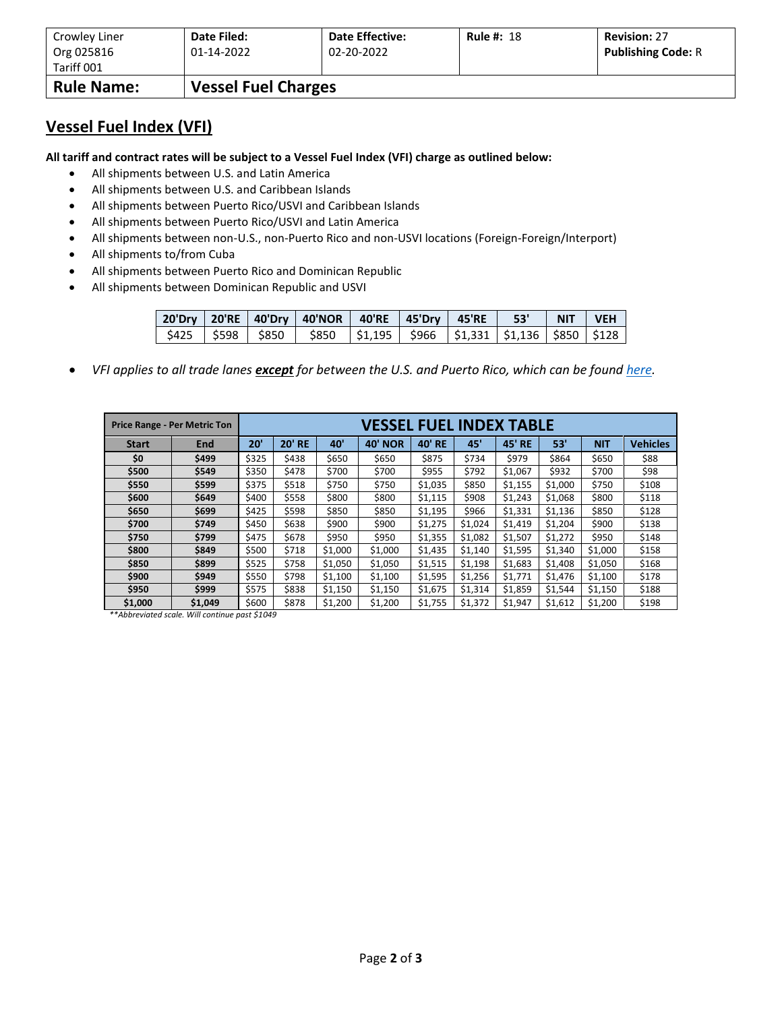| Crowley Liner     | Date Filed:                | <b>Date Effective:</b> | <b>Rule #: 18</b> | <b>Revision: 27</b>       |
|-------------------|----------------------------|------------------------|-------------------|---------------------------|
| Org 025816        | 01-14-2022                 | 02-20-2022             |                   | <b>Publishing Code: R</b> |
| Tariff 001        |                            |                        |                   |                           |
| <b>Rule Name:</b> | <b>Vessel Fuel Charges</b> |                        |                   |                           |

## **Vessel Fuel Index (VFI)**

**All tariff and contract rates will be subject to a Vessel Fuel Index (VFI) charge as outlined below:**

- All shipments between U.S. and Latin America
- All shipments between U.S. and Caribbean Islands
- All shipments between Puerto Rico/USVI and Caribbean Islands
- All shipments between Puerto Rico/USVI and Latin America
- All shipments between non-U.S., non-Puerto Rico and non-USVI locations (Foreign-Foreign/Interport)
- All shipments to/from Cuba
- All shipments between Puerto Rico and Dominican Republic
- All shipments between Dominican Republic and USVI

|  | ່ 20'Dry   20'RE   40'Dry   40'NOR   40'RE   45'Dry   45'RE   − 53'   NIT   VEH     |  |  |  |
|--|-------------------------------------------------------------------------------------|--|--|--|
|  | \$425   \$598   \$850   \$850   \$1,195   \$966   \$1,331   \$1,136   \$850   \$128 |  |  |  |

• *VFI applies to all trade lanes except for between the U.S. and Puerto Rico, which can be foun[d here.](https://www.crowley.com/logistics/resources/rates-tariffs/stb/#18-1-vessel-fuel-surcharge-between-the-continental-us-and-puerto-rico)*

|              | <b>Price Range - Per Metric Ton</b> | VESSEL FUEL INDEX TABLE |               |         |                |         |         |               |         |            |                 |
|--------------|-------------------------------------|-------------------------|---------------|---------|----------------|---------|---------|---------------|---------|------------|-----------------|
| <b>Start</b> | <b>End</b>                          | 20'                     | <b>20' RE</b> | 40'     | <b>40' NOR</b> | 40' RE  | 45'     | <b>45' RE</b> | 53'     | <b>NIT</b> | <b>Vehicles</b> |
| \$0          | \$499                               | \$325                   | \$438         | \$650   | \$650          | \$875   | \$734   | \$979         | \$864   | \$650      | \$88            |
| \$500        | \$549                               | \$350                   | \$478         | \$700   | \$700          | \$955   | \$792   | \$1,067       | \$932   | \$700      | \$98            |
| \$550        | \$599                               | \$375                   | \$518         | \$750   | \$750          | \$1,035 | \$850   | \$1,155       | \$1,000 | \$750      | \$108           |
| \$600        | \$649                               | \$400                   | \$558         | \$800   | \$800          | \$1,115 | \$908   | \$1,243       | \$1,068 | \$800      | \$118           |
| \$650        | \$699                               | \$425                   | \$598         | \$850   | \$850          | \$1,195 | \$966   | \$1,331       | \$1,136 | \$850      | \$128           |
| \$700        | \$749                               | \$450                   | \$638         | \$900   | \$900          | \$1,275 | \$1,024 | \$1,419       | \$1,204 | \$900      | \$138           |
| \$750        | \$799                               | \$475                   | \$678         | \$950   | \$950          | \$1,355 | \$1,082 | \$1,507       | \$1,272 | \$950      | \$148           |
| \$800        | \$849                               | \$500                   | \$718         | \$1,000 | \$1,000        | \$1,435 | \$1,140 | \$1,595       | \$1,340 | \$1,000    | \$158           |
| \$850        | \$899                               | \$525                   | \$758         | \$1,050 | \$1,050        | \$1,515 | \$1,198 | \$1,683       | \$1,408 | \$1,050    | \$168           |
| \$900        | \$949                               | \$550                   | \$798         | \$1,100 | \$1,100        | \$1,595 | \$1,256 | \$1,771       | \$1,476 | \$1,100    | \$178           |
| \$950        | \$999                               | \$575                   | \$838         | \$1,150 | \$1,150        | \$1,675 | \$1,314 | \$1,859       | \$1,544 | \$1,150    | \$188           |
| \$1,000      | \$1,049                             | \$600                   | \$878         | \$1,200 | \$1,200        | \$1,755 | \$1,372 | \$1,947       | \$1,612 | \$1,200    | \$198           |

*\*\*Abbreviated scale. Will continue past \$1049*